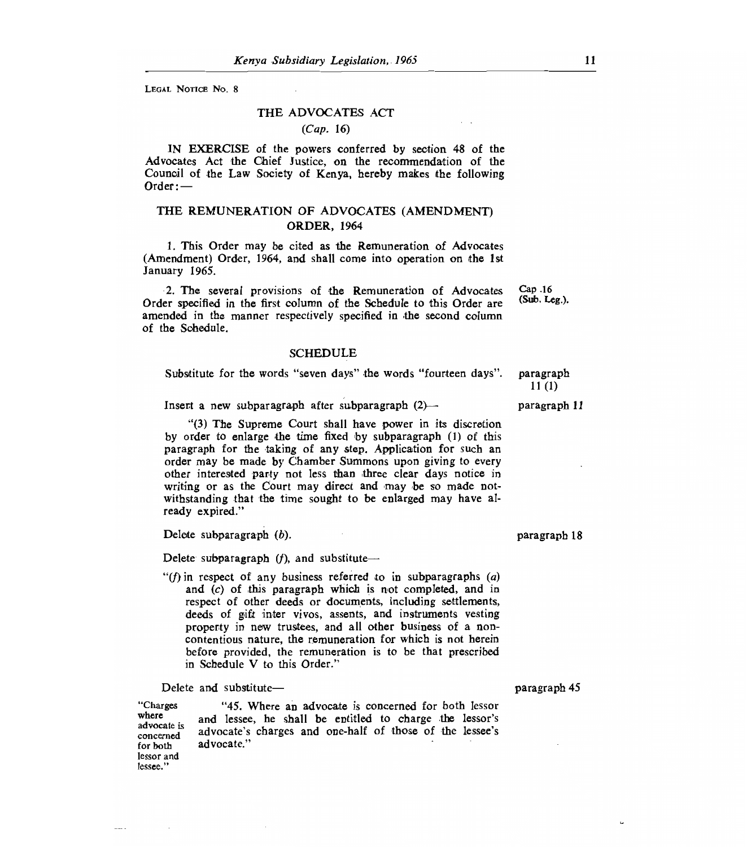LEGAL NOTICE NO. 8

### THE ADVOCATES ACT

## *(Cap.* 16)

IN EXERCISE of the powers conferred by section 48 of the Advocates Act the Chief Justice, on the recommendation of the Council of the Law Society of Kenya, hereby makes the following Order :—

# THE REMUNERATION OF ADVOCATES (AMENDMENT) ORDER, 1964

1. This Order may be cited as the Remuneration of Advocates (Amendment) Order, 1964, and shall come into operation on the 1st January 1965.

2. The several provisions of the Remuneration of Advocates Order specified in the first column of the Schedule to this Order are amended in the manner respectively specified in the second column of the Schedule.

#### SCHEDULE

Substitute for the words "seven days" the words "fourteen days". paragraph  $11 (1)$ 

Insert a new subparagraph after subparagraph (2)— paragraph 11

"(3) The Supreme Court shall have power in its discretion by order to enlarge the time fixed by subparagraph (I) of this paragraph for the taking of any step. Application for such an order may be made by Chamber Summons upon giving to every other interested party not less than three clear days notice in writing or as the Court may direct and may be so made notwithstanding that the time sought to be enlarged may have already expired."

Delete subparagraph *(b).* paragraph 18

Delete subparagraph *(f),* and substitute—

*"(f)* in respect of any business referred to in subparagraphs *(a)*  and *(c)* of this paragraph which is not completed, and in respect of other deeds or documents, including settlements, deeds of gift inter vivos, assents, and instruments vesting property in new trustees, and all other business of a noncontentious nature, the remuneration for which is not herein before provided, the remuneration is to be that prescribed in Schedule V to this Order."

Delete and substitute— paragraph 45

"Charges where advocate is concerned for both lessor and lessee."

"45. Where an advocate is concerned for both lessor and lessee, he shall be entitled to charge the lessor's advocate's charges and one-half of those of the lessee's advocate."

Cap .16 (Sub. Leg.).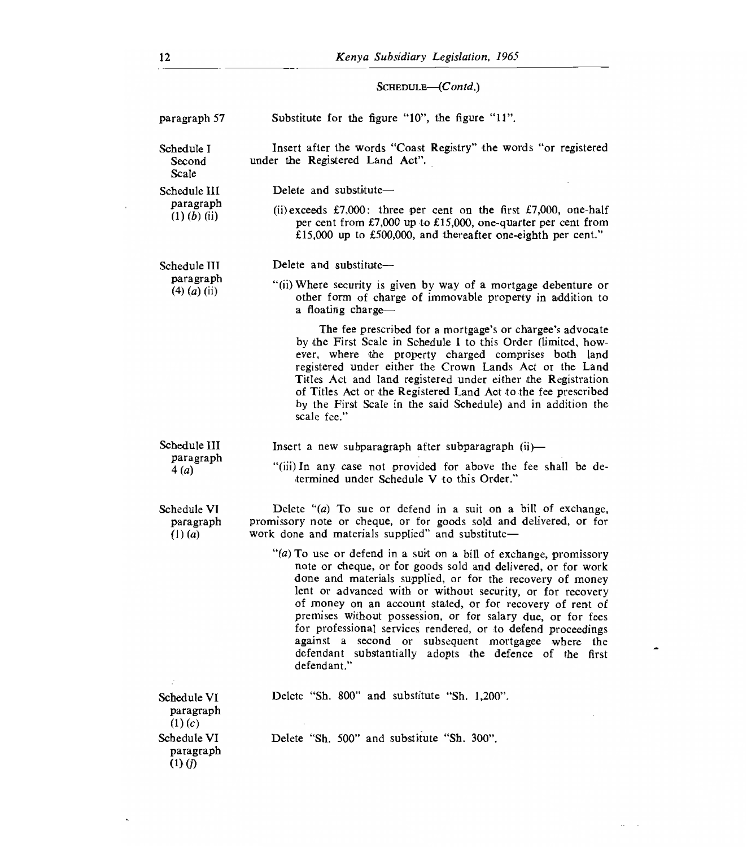SCHEDULE-(Contd.)

| paragraph 57                                    | Substitute for the figure "10", the figure "11".                                                                                                                                                                                                                                                                                                                                                                                                                                                                                                                                         |
|-------------------------------------------------|------------------------------------------------------------------------------------------------------------------------------------------------------------------------------------------------------------------------------------------------------------------------------------------------------------------------------------------------------------------------------------------------------------------------------------------------------------------------------------------------------------------------------------------------------------------------------------------|
| Schedule I<br>Second<br>Scale                   | Insert after the words "Coast Registry" the words "or registered<br>under the Registered Land Act".                                                                                                                                                                                                                                                                                                                                                                                                                                                                                      |
| Schedule III<br>paragraph<br>$(1)$ $(b)$ $(ii)$ | Delete and substitute-                                                                                                                                                                                                                                                                                                                                                                                                                                                                                                                                                                   |
|                                                 | (ii) exceeds £7,000: three per cent on the first £7,000, one-half<br>per cent from £7,000 up to £15,000, one-quarter per cent from<br>£15,000 up to £500,000, and thereafter one-eighth per cent."                                                                                                                                                                                                                                                                                                                                                                                       |
| Schedule III<br>paragraph<br>$(4)$ $(a)$ $(ii)$ | Delete and substitute-                                                                                                                                                                                                                                                                                                                                                                                                                                                                                                                                                                   |
|                                                 | "(ii) Where security is given by way of a mortgage debenture or<br>other form of charge of immovable property in addition to<br>a floating charge-                                                                                                                                                                                                                                                                                                                                                                                                                                       |
|                                                 | The fee prescribed for a mortgage's or chargee's advocate<br>by the First Scale in Schedule I to this Order (limited, how-<br>ever, where the property charged comprises both land<br>registered under either the Crown Lands Act or the Land<br>Titles Act and land registered under either the Registration<br>of Titles Act or the Registered Land Act to the fee prescribed<br>by the First Scale in the said Schedule) and in addition the<br>scale fee."                                                                                                                           |
| Schedule III<br>paragraph<br>4(a)               | Insert a new subparagraph after subparagraph $(ii)$ —                                                                                                                                                                                                                                                                                                                                                                                                                                                                                                                                    |
|                                                 | "(iii) In any case not provided for above the fee shall be de-<br>termined under Schedule V to this Order."                                                                                                                                                                                                                                                                                                                                                                                                                                                                              |
| Schedule VI<br>paragraph<br>$(1)$ ( <i>a</i> )  | Delete " $(a)$ To sue or defend in a suit on a bill of exchange,<br>promissory note or cheque, or for goods sold and delivered, or for<br>work done and materials supplied" and substitute-                                                                                                                                                                                                                                                                                                                                                                                              |
|                                                 | "(a) To use or defend in a suit on a bill of exchange, promissory<br>note or cheque, or for goods sold and delivered, or for work<br>done and materials supplied, or for the recovery of money<br>lent or advanced with or without security, or for recovery<br>of money on an account stated, or for recovery of rent of<br>premises without possession, or for salary due, or for fees<br>for professional services rendered, or to defend proceedings<br>against a second or subsequent mortgagee where the<br>defendant substantially adopts the defence of the first<br>defendant." |
| Schedule VI<br>paragraph                        | Delete "Sh. 800" and substitute "Sh. 1,200".                                                                                                                                                                                                                                                                                                                                                                                                                                                                                                                                             |
| (1)(c)                                          |                                                                                                                                                                                                                                                                                                                                                                                                                                                                                                                                                                                          |
| Schedule VI<br>paragraph<br>$(1)$ (j)           | Delete "Sh. 500" and substitute "Sh. 300".                                                                                                                                                                                                                                                                                                                                                                                                                                                                                                                                               |

 $\overline{\phantom{a}}$ 

 $\mathcal{A}$